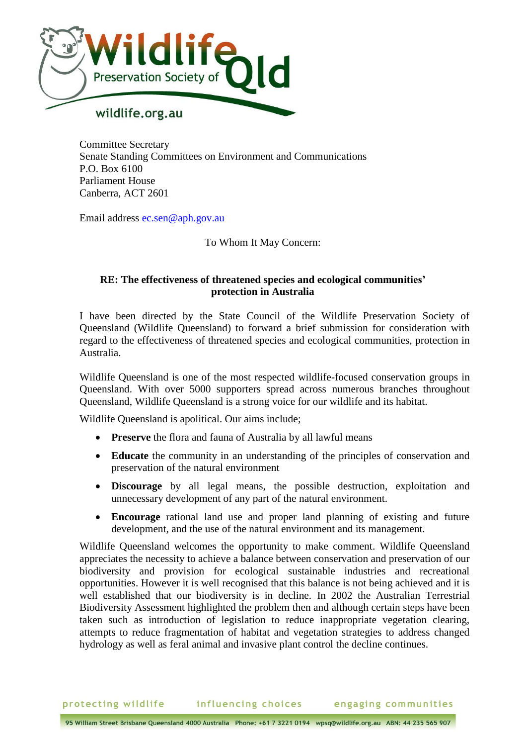

Committee Secretary Senate Standing Committees on Environment and Communications P.O. Box 6100 Parliament House Canberra, ACT 2601

Email address ec.sen@aph.gov.au

To Whom It May Concern:

## **RE: The effectiveness of threatened species and ecological communities' protection in Australia**

I have been directed by the State Council of the Wildlife Preservation Society of Queensland (Wildlife Queensland) to forward a brief submission for consideration with regard to the effectiveness of threatened species and ecological communities, protection in Australia.

Wildlife Queensland is one of the most respected wildlife-focused conservation groups in Queensland. With over 5000 supporters spread across numerous branches throughout Queensland, Wildlife Queensland is a strong voice for our wildlife and its habitat.

Wildlife Queensland is apolitical. Our aims include;

- **Preserve** the flora and fauna of Australia by all lawful means
- **Educate** the community in an understanding of the principles of conservation and preservation of the natural environment
- **Discourage** by all legal means, the possible destruction, exploitation and unnecessary development of any part of the natural environment.
- **Encourage** rational land use and proper land planning of existing and future development, and the use of the natural environment and its management.

Wildlife Queensland welcomes the opportunity to make comment. Wildlife Queensland appreciates the necessity to achieve a balance between conservation and preservation of our biodiversity and provision for ecological sustainable industries and recreational opportunities. However it is well recognised that this balance is not being achieved and it is well established that our biodiversity is in decline. In 2002 the Australian Terrestrial Biodiversity Assessment highlighted the problem then and although certain steps have been taken such as introduction of legislation to reduce inappropriate vegetation clearing, attempts to reduce fragmentation of habitat and vegetation strategies to address changed hydrology as well as feral animal and invasive plant control the decline continues.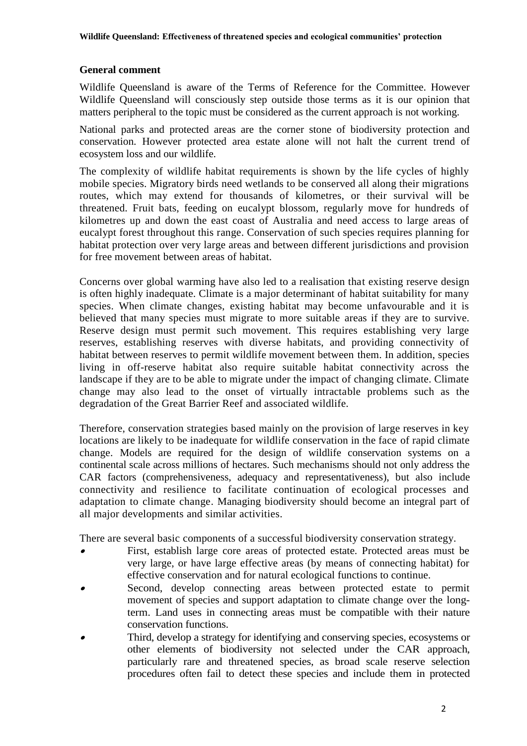## **General comment**

Wildlife Queensland is aware of the Terms of Reference for the Committee. However Wildlife Queensland will consciously step outside those terms as it is our opinion that matters peripheral to the topic must be considered as the current approach is not working.

National parks and protected areas are the corner stone of biodiversity protection and conservation. However protected area estate alone will not halt the current trend of ecosystem loss and our wildlife.

The complexity of wildlife habitat requirements is shown by the life cycles of highly mobile species. Migratory birds need wetlands to be conserved all along their migrations routes, which may extend for thousands of kilometres, or their survival will be threatened. Fruit bats, feeding on eucalypt blossom, regularly move for hundreds of kilometres up and down the east coast of Australia and need access to large areas of eucalypt forest throughout this range. Conservation of such species requires planning for habitat protection over very large areas and between different jurisdictions and provision for free movement between areas of habitat.

Concerns over global warming have also led to a realisation that existing reserve design is often highly inadequate. Climate is a major determinant of habitat suitability for many species. When climate changes, existing habitat may become unfavourable and it is believed that many species must migrate to more suitable areas if they are to survive. Reserve design must permit such movement. This requires establishing very large reserves, establishing reserves with diverse habitats, and providing connectivity of habitat between reserves to permit wildlife movement between them. In addition, species living in off-reserve habitat also require suitable habitat connectivity across the landscape if they are to be able to migrate under the impact of changing climate. Climate change may also lead to the onset of virtually intractable problems such as the degradation of the Great Barrier Reef and associated wildlife.

Therefore, conservation strategies based mainly on the provision of large reserves in key locations are likely to be inadequate for wildlife conservation in the face of rapid climate change. Models are required for the design of wildlife conservation systems on a continental scale across millions of hectares. Such mechanisms should not only address the CAR factors (comprehensiveness, adequacy and representativeness), but also include connectivity and resilience to facilitate continuation of ecological processes and adaptation to climate change. Managing biodiversity should become an integral part of all major developments and similar activities.

There are several basic components of a successful biodiversity conservation strategy.

- . First, establish large core areas of protected estate. Protected areas must be very large, or have large effective areas (by means of connecting habitat) for effective conservation and for natural ecological functions to continue.
- $\bullet$  Second, develop connecting areas between protected estate to permit movement of species and support adaptation to climate change over the longterm. Land uses in connecting areas must be compatible with their nature conservation functions.
- . Third, develop a strategy for identifying and conserving species, ecosystems or other elements of biodiversity not selected under the CAR approach, particularly rare and threatened species, as broad scale reserve selection procedures often fail to detect these species and include them in protected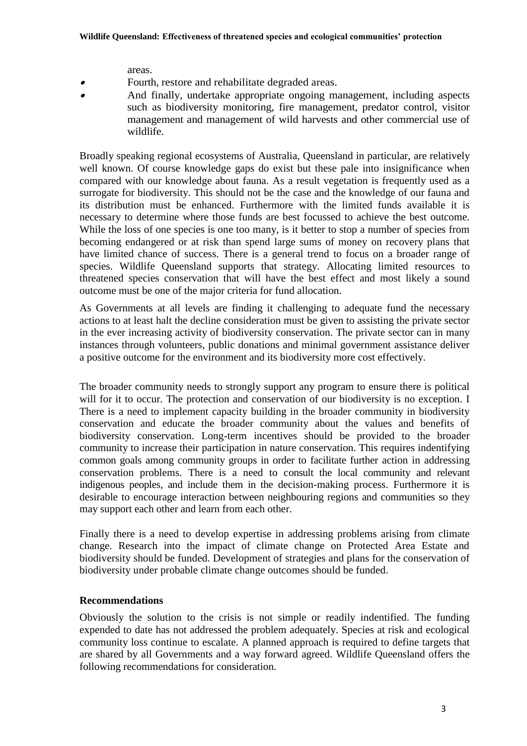areas.

- . Fourth, restore and rehabilitate degraded areas.
- . And finally, undertake appropriate ongoing management, including aspects such as biodiversity monitoring, fire management, predator control, visitor management and management of wild harvests and other commercial use of wildlife.

Broadly speaking regional ecosystems of Australia, Queensland in particular, are relatively well known. Of course knowledge gaps do exist but these pale into insignificance when compared with our knowledge about fauna. As a result vegetation is frequently used as a surrogate for biodiversity. This should not be the case and the knowledge of our fauna and its distribution must be enhanced. Furthermore with the limited funds available it is necessary to determine where those funds are best focussed to achieve the best outcome. While the loss of one species is one too many, is it better to stop a number of species from becoming endangered or at risk than spend large sums of money on recovery plans that have limited chance of success. There is a general trend to focus on a broader range of species. Wildlife Queensland supports that strategy. Allocating limited resources to threatened species conservation that will have the best effect and most likely a sound outcome must be one of the major criteria for fund allocation.

As Governments at all levels are finding it challenging to adequate fund the necessary actions to at least halt the decline consideration must be given to assisting the private sector in the ever increasing activity of biodiversity conservation. The private sector can in many instances through volunteers, public donations and minimal government assistance deliver a positive outcome for the environment and its biodiversity more cost effectively.

The broader community needs to strongly support any program to ensure there is political will for it to occur. The protection and conservation of our biodiversity is no exception. I There is a need to implement capacity building in the broader community in biodiversity conservation and educate the broader community about the values and benefits of biodiversity conservation. Long-term incentives should be provided to the broader community to increase their participation in nature conservation. This requires indentifying common goals among community groups in order to facilitate further action in addressing conservation problems. There is a need to consult the local community and relevant indigenous peoples, and include them in the decision-making process. Furthermore it is desirable to encourage interaction between neighbouring regions and communities so they may support each other and learn from each other.

Finally there is a need to develop expertise in addressing problems arising from climate change. Research into the impact of climate change on Protected Area Estate and biodiversity should be funded. Development of strategies and plans for the conservation of biodiversity under probable climate change outcomes should be funded.

## **Recommendations**

Obviously the solution to the crisis is not simple or readily indentified. The funding expended to date has not addressed the problem adequately. Species at risk and ecological community loss continue to escalate. A planned approach is required to define targets that are shared by all Governments and a way forward agreed. Wildlife Queensland offers the following recommendations for consideration.